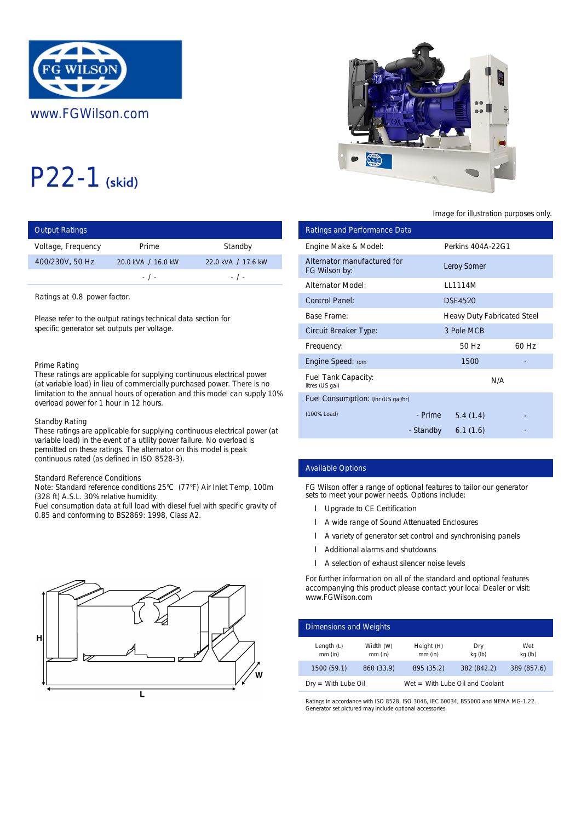

# P22-1 (skid)

| <b>Output Ratings</b> |                    |                    | <b>Ratings and Performance Data</b>          |           |
|-----------------------|--------------------|--------------------|----------------------------------------------|-----------|
| Voltage, Frequency    | Prime              | Standby            | Engine Make & Model:                         | Perkins 4 |
| 400/230V, 50 Hz       | 20.0 kVA / 16.0 kW | 22.0 kVA / 17.6 kW | Alternator manufactured for<br>FG Wilson by: | Leroy Son |
|                       | $-1$ $-$           | $-1$ $-$           | <b>Alternator Model:</b>                     | LL1114M   |

Ratings at 0.8 power factor.

Please refer to the output ratings technical data section for specific generator set outputs per voltage.

#### Prime Rating

These ratings are applicable for supplying continuous electrical power (at variable load) in lieu of commercially purchased power. There is no limitation to the annual hours of operation and this model can supply 10% overload power for 1 hour in 12 hours.

#### Standby Rating

These ratings are applicable for supplying continuous electrical power (at variable load) in the event of a utility power failure. No overload is permitted on these ratings. The alternator on this model is peak continuous rated (as defined in ISO 8528-3).

# Standard Reference Conditions

Note: Standard reference conditions 25°C (77°F) Air Inlet Temp, 100m (328 ft) A.S.L. 30% relative humidity.

Fuel consumption data at full load with diesel fuel with specific gravity of 0.85 and conforming to BS2869: 1998, Class A2.





# Image for illustration purposes only.

| ings                                                                                                                                                                                                                                  |                                                                                                                                  |                                                                    |                                                   | <b>Ratings and Performance Data</b>                                                                                                                                                                                                                                                                                                                     |                         |                             |                |
|---------------------------------------------------------------------------------------------------------------------------------------------------------------------------------------------------------------------------------------|----------------------------------------------------------------------------------------------------------------------------------|--------------------------------------------------------------------|---------------------------------------------------|---------------------------------------------------------------------------------------------------------------------------------------------------------------------------------------------------------------------------------------------------------------------------------------------------------------------------------------------------------|-------------------------|-----------------------------|----------------|
| equency                                                                                                                                                                                                                               | Prime                                                                                                                            | Standby                                                            | Engine Make & Model:                              |                                                                                                                                                                                                                                                                                                                                                         |                         | Perkins 404A-22G1           |                |
| 50 Hz                                                                                                                                                                                                                                 | 20.0 kVA / 16.0 kW<br>$-$ / $-$                                                                                                  | 22.0 kVA / 17.6 kW<br>$-$ / $-$                                    | Alternator manufactured for<br>FG Wilson by:      |                                                                                                                                                                                                                                                                                                                                                         |                         | <b>Leroy Somer</b>          |                |
|                                                                                                                                                                                                                                       |                                                                                                                                  |                                                                    | <b>Alternator Model:</b>                          |                                                                                                                                                                                                                                                                                                                                                         |                         | LL1114M                     |                |
| 0.8 power factor.                                                                                                                                                                                                                     |                                                                                                                                  |                                                                    | <b>Control Panel:</b>                             |                                                                                                                                                                                                                                                                                                                                                         |                         | <b>DSE4520</b>              |                |
|                                                                                                                                                                                                                                       | to the output ratings technical data section for                                                                                 |                                                                    | <b>Base Frame:</b>                                |                                                                                                                                                                                                                                                                                                                                                         |                         | Heavy Duty Fabricated Steel |                |
|                                                                                                                                                                                                                                       | erator set outputs per voltage.                                                                                                  |                                                                    | <b>Circuit Breaker Type:</b>                      |                                                                                                                                                                                                                                                                                                                                                         |                         | 3 Pole MCB                  |                |
|                                                                                                                                                                                                                                       |                                                                                                                                  |                                                                    | Frequency:                                        |                                                                                                                                                                                                                                                                                                                                                         |                         | 50 Hz                       | 60 Hz          |
| ٦g                                                                                                                                                                                                                                    |                                                                                                                                  |                                                                    | Engine Speed: rpm                                 |                                                                                                                                                                                                                                                                                                                                                         |                         | 1500                        |                |
|                                                                                                                                                                                                                                       | gs are applicable for supplying continuous electrical power<br>load) in lieu of commercially purchased power. There is no        |                                                                    | <b>Fuel Tank Capacity:</b><br>litres (US gal)     |                                                                                                                                                                                                                                                                                                                                                         |                         | N/A                         |                |
|                                                                                                                                                                                                                                       | wer for 1 hour in 12 hours.                                                                                                      | the annual hours of operation and this model can supply 10%        |                                                   | Fuel Consumption: I/hr (US gal/hr)                                                                                                                                                                                                                                                                                                                      |                         |                             |                |
|                                                                                                                                                                                                                                       |                                                                                                                                  |                                                                    | (100% Load)                                       |                                                                                                                                                                                                                                                                                                                                                         | - Prime                 | 5.4(1.4)                    |                |
| ıtina<br>gs are applicable for supplying continuous electrical power (at<br>d) in the event of a utility power failure. No overload is<br>in these ratings. The alternator on this model is peak<br>rated (as defined in ISO 8528-3). |                                                                                                                                  |                                                                    |                                                   |                                                                                                                                                                                                                                                                                                                                                         | - Standby               | 6.1(1.6)                    |                |
| eference Conditions                                                                                                                                                                                                                   |                                                                                                                                  |                                                                    | <b>Available Options</b>                          |                                                                                                                                                                                                                                                                                                                                                         |                         |                             |                |
|                                                                                                                                                                                                                                       | dard reference conditions 25°C (77°F) Air Inlet Temp, 100m<br>.L. 30% relative humidity.<br>onforming to BS2869: 1998, Class A2. | mption data at full load with diesel fuel with specific gravity of |                                                   | FG Wilson offer a range of optional features to tailor our generator<br>sets to meet your power needs. Options include:<br>Upgrade to CE Certification<br>A wide range of Sound Attenuated Enclosures<br>A variety of generator set control and synchronising panels<br>Additional alarms and shutdowns<br>A selection of exhaust silencer noise levels |                         |                             |                |
|                                                                                                                                                                                                                                       |                                                                                                                                  |                                                                    | www.FGWilson.com<br><b>Dimensions and Weights</b> | For further information on all of the standard and optional features<br>accompanying this product please contact your local Dealer or visit:                                                                                                                                                                                                            |                         |                             |                |
|                                                                                                                                                                                                                                       |                                                                                                                                  |                                                                    | Length $(L)$<br>mm (in)                           | Width (W)<br>mm (in)                                                                                                                                                                                                                                                                                                                                    | Height (H)<br>$mm$ (in) | Dry<br>kg (lb)              | Wet<br>kg (lb) |
|                                                                                                                                                                                                                                       |                                                                                                                                  |                                                                    | 1500 (59.1)                                       | 860 (33.9)                                                                                                                                                                                                                                                                                                                                              | 895 (35.2)              | 382 (842.2)                 | 389 (857.6)    |

# Available Options

- **I** Upgrade to CE Certification
- A wide range of Sound Attenuated Enclosures
- l A variety of generator set control and synchronising panels
- Additional alarms and shutdowns
- l A selection of exhaust silencer noise levels

| Dimensions and Weights    |                      |                         |                                   |                |
|---------------------------|----------------------|-------------------------|-----------------------------------|----------------|
| Length $(L)$<br>$mm$ (in) | Width (W)<br>mm (in) | Height (H)<br>$mm$ (in) | Dry<br>kg (lb)                    | Wet<br>kg (lb) |
| 1500 (59.1)               | 860 (33.9)           | 895 (35.2)              | 382 (842.2)                       | 389 (857.6)    |
| $Dry = With Lube Oil$     |                      |                         | $Wet = With Lube Oil and Coolant$ |                |

Ratings in accordance with ISO 8528, ISO 3046, IEC 60034, BS5000 and NEMA MG-1.22. Generator set pictured may include optional accessories.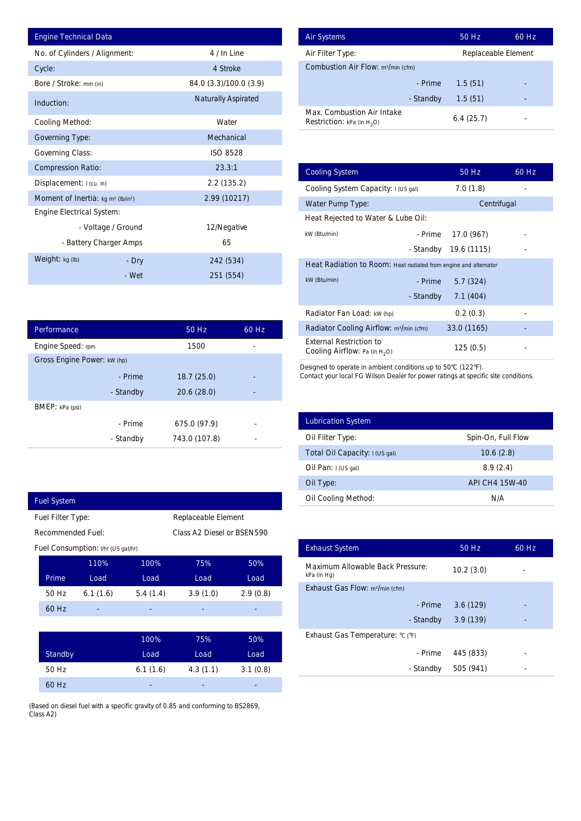| <b>Engine Technical Data</b>                               |           |                        |                | <b>Air Systems</b>                |
|------------------------------------------------------------|-----------|------------------------|----------------|-----------------------------------|
| No. of Cylinders / Alignment:                              |           | 4 / In Line            |                | Air Filter Ty                     |
| Cycle:                                                     |           | 4 Stroke               |                | Combustior                        |
| Bore / Stroke: mm (in)                                     |           | 84.0 (3.3)/100.0 (3.9) |                |                                   |
| Induction:                                                 |           | Naturally Aspirated    |                |                                   |
| <b>Cooling Method:</b>                                     |           | Water                  |                | Max. Comb<br><b>Restriction:</b>  |
| <b>Governing Type:</b>                                     |           | Mechanical             |                |                                   |
| <b>Governing Class:</b>                                    |           | ISO 8528               |                |                                   |
| <b>Compression Ratio:</b>                                  |           | 23.3:1                 |                | <b>Cooling Sys</b>                |
| Displacement: I (cu. in)                                   |           | 2.2(135.2)             |                | <b>Cooling Sys</b>                |
| Moment of Inertia: kg m <sup>2</sup> (lb/in <sup>2</sup> ) |           | 2.99 (10217)           |                | Water Pum                         |
| <b>Engine Electrical System:</b>                           |           |                        |                | <b>Heat Reject</b>                |
| - Voltage / Ground                                         |           | 12/Negative            |                | kW (Btu/min)                      |
| - Battery Charger Amps                                     |           | 65                     |                |                                   |
| Weight: $kg (lb)$                                          | - Dry     | 242 (534)              |                | <b>Heat Radia</b>                 |
|                                                            | - Wet     | 251 (554)              |                | kW (Btu/min)                      |
|                                                            |           |                        |                |                                   |
|                                                            |           |                        |                | Radiator Fa                       |
| Performance                                                |           | 50 Hz                  | 60 Hz          | Radiator Co                       |
| Engine Speed: rpm                                          |           | 1500                   | $\overline{a}$ | <b>External Re</b>                |
| Gross Engine Power: kw (hp)                                |           |                        |                | Cooling Air                       |
|                                                            | - Prime   | 18.7(25.0)             |                | Designed to op<br>Contact your lo |
|                                                            | - Standby | 20.6(28.0)             |                |                                   |
| BMEP: kPa (psi)                                            |           |                        |                |                                   |
|                                                            | - Prime   | 675.0 (97.9)           |                | Lubrication                       |
|                                                            | - Standby | 743.0 (107.8)          |                | Oil Filter $Ty$                   |
|                                                            |           |                        |                | Total Oil Ca                      |
|                                                            |           |                        |                | Oil Pan: I(U                      |
|                                                            |           |                        |                | Oil Type:                         |
| <b>Fuel System</b>                                         |           |                        |                | Oil Cooling                       |
| Fuel Filter Type:                                          |           | Replaceable Element    |                |                                   |

| <b>Air Systems</b>                                                 | 50 Hz               | 60 Hz |
|--------------------------------------------------------------------|---------------------|-------|
| Air Filter Type:                                                   | Replaceable Element |       |
| <b>Combustion Air Flow: m3/min (cfm)</b>                           |                     |       |
| - Prime                                                            | 1.5(51)             |       |
| - Standby                                                          | 1.5(51)             |       |
| Max. Combustion Air Intake<br><b>Restriction:</b> kPa (in $H_2O$ ) | 6.4(25.7)           |       |

|          | 4 / In Line                |          | Air Filter Type:                                                            | Replaceable Element |       |
|----------|----------------------------|----------|-----------------------------------------------------------------------------|---------------------|-------|
|          | 4 Stroke                   |          | Combustion Air Flow: m <sup>3/min</sup> (cfm)                               |                     |       |
|          | 84.0 (3.3)/100.0 (3.9)     |          | - Prime                                                                     | 1.5(51)             |       |
|          | <b>Naturally Aspirated</b> |          | - Standby                                                                   | 1.5(51)             |       |
|          | Water                      |          | Max. Combustion Air Intake<br><b>Restriction:</b> kPa (in $H_2O$ )          | 6.4(25.7)           |       |
|          | Mechanical                 |          |                                                                             |                     |       |
|          | <b>ISO 8528</b>            |          |                                                                             |                     |       |
|          | 23.3:1                     |          | <b>Cooling System</b>                                                       | 50 Hz               | 60 Hz |
|          | 2.2(135.2)                 |          | Cooling System Capacity: I (US gal)                                         | 7.0(1.8)            |       |
|          | 2.99 (10217)               |          | Water Pump Type:                                                            | Centrifugal         |       |
|          |                            |          | Heat Rejected to Water & Lube Oil:                                          |                     |       |
| ٦d       | 12/Negative                |          | kW (Btu/min)<br>- Prime                                                     | 17.0 (967)          |       |
| ps       | 65                         |          | - Standby                                                                   | 19.6 (1115)         |       |
| ry       | 242 (534)                  |          | Heat Radiation to Room: Heat radiated from engine and alternator            |                     |       |
| 'et      | 251 (554)                  |          | kW (Btu/min)<br>- Prime                                                     | 5.7(324)            |       |
|          |                            |          | - Standby                                                                   | 7.1 (404)           |       |
|          |                            |          | Radiator Fan Load: kW (hp)                                                  | 0.2(0.3)            |       |
|          | 50 Hz                      | 60 Hz    | Radiator Cooling Airflow: m <sup>3</sup> /min (cfm)                         | 33.0 (1165)         |       |
|          | 1500                       |          | <b>External Restriction to</b><br>Cooling Airflow: Pa (in H <sub>2</sub> O) | 125(0.5)            |       |
| by       | 20.6 (28.0)                |          |                                                                             |                     |       |
| ne       | 675.0 (97.9)               |          | <b>Lubrication System</b>                                                   |                     |       |
| by       | 743.0 (107.8)              |          | Oil Filter Type:                                                            | Spin-On, Full Flow  |       |
|          |                            |          | Total Oil Capacity: I (US gal)                                              | 10.6(2.8)           |       |
|          |                            |          | Oil Pan: I (US gal)                                                         | 8.9(2.4)            |       |
|          |                            |          | Oil Type:                                                                   | API CH4 15W-40      |       |
|          |                            |          | Oil Cooling Method:                                                         | N/A                 |       |
|          | Replaceable Element        |          |                                                                             |                     |       |
|          | Class A2 Diesel or BSEN590 |          |                                                                             |                     |       |
|          |                            |          | <b>Exhaust System</b>                                                       | 50 Hz               | 60 Hz |
| 100%     | 75%                        | 50%      | Maximum Allowable Back Pressure:                                            | 10.2(3.0)           |       |
| Load     | Load                       | Load     | kPa (in Hg)<br>Exhaust Gas Flow: m <sup>3</sup> /min (cfm)                  |                     |       |
| 5.4(1.4) | 3.9(1.0)                   | 2.9(0.8) | - Prime                                                                     | 3.6(129)            |       |
|          |                            |          | - Standby                                                                   | 3.9(139)            |       |
|          |                            |          | Exhaust Gas Temperature: °C (°F)                                            |                     |       |
| 100%     | 75%                        | 50%      | - Prime                                                                     |                     |       |
| Load     | Load                       | Load     |                                                                             | 445 (833)           |       |
| 6.1(1.6) | 4.3(1.1)                   | 3.1(0.8) | - Standby                                                                   | 505 (941)           |       |

| <b>Lubrication System</b>      |                    |
|--------------------------------|--------------------|
| Oil Filter Type:               | Spin-On, Full Flow |
| Total Oil Capacity: I (US gal) | 10.6(2.8)          |
| Oil Pan: $I(US gal)$           | 8.9(2.4)           |
| Oil Type:                      | API CH4 15W-40     |
| <b>Oil Cooling Method:</b>     | N/A                |

| <b>Exhaust System</b>                           | 50 Hz     | 60 Hz |  |  |
|-------------------------------------------------|-----------|-------|--|--|
| Maximum Allowable Back Pressure:<br>kPa (in Hg) | 10.2(3.0) |       |  |  |
| Exhaust Gas Flow: m <sup>3</sup> /min (cfm)     |           |       |  |  |
| - Prime                                         | 3.6(129)  |       |  |  |
| - Standby                                       | 3.9(139)  |       |  |  |
| Exhaust Gas Temperature: °C (°F)                |           |       |  |  |
| - Prime                                         | 445 (833) |       |  |  |
| - Standby                                       | 505 (941) |       |  |  |
|                                                 |           |       |  |  |

| Performance                 |           | 50 Hz         | 60 Hz |  |
|-----------------------------|-----------|---------------|-------|--|
| Engine Speed: rpm           |           | 1500          |       |  |
| Gross Engine Power: kW (hp) |           |               |       |  |
|                             | - Prime   | 18.7(25.0)    |       |  |
|                             | - Standby | 20.6 (28.0)   |       |  |
| <b>BMEP</b> : kPa (psi)     |           |               |       |  |
|                             | - Prime   | 675.0 (97.9)  | -     |  |
|                             | - Standby | 743.0 (107.8) |       |  |

|                   | <b>Fuel System</b>                 |          |          |                            |          |
|-------------------|------------------------------------|----------|----------|----------------------------|----------|
| Fuel Filter Type: |                                    |          |          | Replaceable Element        |          |
|                   | <b>Recommended Fuel:</b>           |          |          | Class A2 Diesel or BSEN590 |          |
|                   | Fuel Consumption: I/hr (US gal/hr) |          |          |                            |          |
|                   |                                    | 110%     | 100%     | 75%                        | 50%      |
|                   | Prime                              | Load     | Load     | Load                       | Load     |
|                   | 50 Hz                              | 6.1(1.6) | 5.4(1.4) | 3.9(1.0)                   | 2.9(0.8) |
|                   | 60 Hz                              |          |          |                            |          |
|                   |                                    |          |          |                            |          |
|                   |                                    |          | 100%     | 75%                        | 50%      |
|                   | Standby                            |          | Load     | Load                       | Load     |

| 50 Hz | 6.1(1.6) | 4.3(1.1)                 | 3.1(0.8) |
|-------|----------|--------------------------|----------|
| 60 Hz | -        | $\overline{\phantom{0}}$ | -        |
|       |          |                          |          |

(Based on diesel fuel with a specific gravity of 0.85 and conforming to BS2869, Class A2)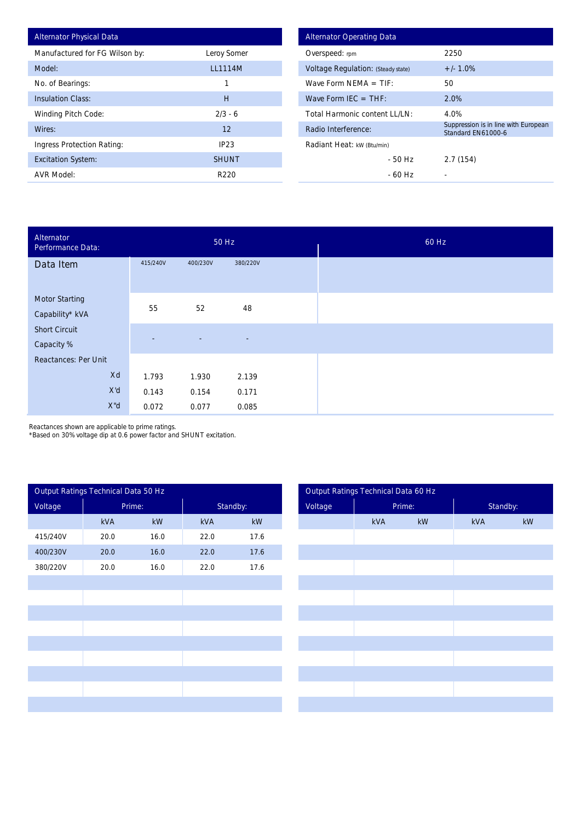| <b>Alternator Physical Data</b> |                |
|---------------------------------|----------------|
| Manufactured for FG Wilson by:  | Leroy Somer    |
| Model:                          | <b>LL1114M</b> |
| No. of Bearings:                | 1              |
| <b>Insulation Class:</b>        | Н              |
| <b>Winding Pitch Code:</b>      | $2/3 - 6$      |
| Wires:                          | 12             |
| Ingress Protection Rating:      | IP23           |
| <b>Excitation System:</b>       | <b>SHUNT</b>   |
| <b>AVR Model:</b>               | R220           |

| <b>Alternator Operating Data</b>          |                                                            |
|-------------------------------------------|------------------------------------------------------------|
| Overspeed: rpm                            | 2250                                                       |
| <b>Voltage Regulation: (Steady state)</b> | $+/- 1.0%$                                                 |
| Wave Form NFMA $=$ TIF:                   | 50                                                         |
| Wave Form IEC $=$ THF:                    | 2.0%                                                       |
| Total Harmonic content I I /I N:          | 4.0%                                                       |
| Radio Interference:                       | Suppression is in line with European<br>Standard FN61000-6 |
| Radiant Heat: kW (Btu/min)                |                                                            |
| - 50 Hz                                   | 2.7(154)                                                   |
| - 60 Hz                                   |                                                            |

| Alternator<br>Performance Data:          |                          | 50 Hz          |                          | 60 Hz |
|------------------------------------------|--------------------------|----------------|--------------------------|-------|
| Data Item                                | 415/240V                 | 400/230V       | 380/220V                 |       |
| <b>Motor Starting</b><br>Capability* kVA | 55                       | 52             | 48                       |       |
| <b>Short Circuit</b><br>Capacity %       | $\overline{\phantom{a}}$ | $\blacksquare$ | $\overline{\phantom{a}}$ |       |
| <b>Reactances: Per Unit</b>              |                          |                |                          |       |
| Xd                                       | 1.793                    | 1.930          | 2.139                    |       |
| X'd                                      | 0.143                    | 0.154          | 0.171                    |       |
| X"d                                      | 0.072                    | 0.077          | 0.085                    |       |

Reactances shown are applicable to prime ratings.

\*Based on 30% voltage dip at 0.6 power factor and SHUNT excitation.

|          | Output Ratings Technical Data 50 Hz |                        |      |          |
|----------|-------------------------------------|------------------------|------|----------|
| Voltage  |                                     | Prime:                 |      | Standby: |
|          | kVA                                 | $\mathsf{k}\mathsf{W}$ | kVA  | kW       |
| 415/240V | 20.0                                | 16.0                   | 22.0 | 17.6     |
| 400/230V | 20.0                                | 16.0                   | 22.0 | 17.6     |
| 380/220V | 20.0                                | 16.0                   | 22.0 | 17.6     |
|          |                                     |                        |      |          |
|          |                                     |                        |      |          |
|          |                                     |                        |      |          |
|          |                                     |                        |      |          |
|          |                                     |                        |      |          |
|          |                                     |                        |      |          |
|          |                                     |                        |      |          |
|          |                                     |                        |      |          |
|          |                                     |                        |      |          |